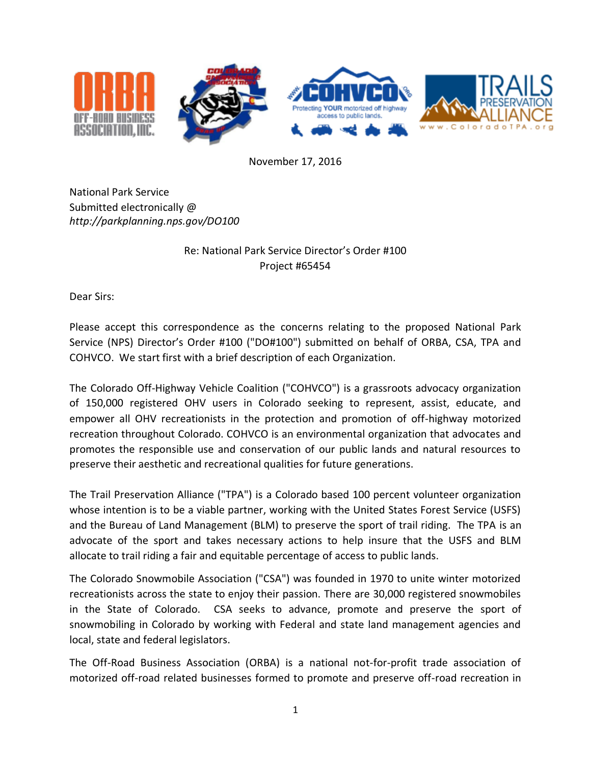

November 17, 2016

National Park Service Submitted electronically @ *<http://parkplanning.nps.gov/DO100>*

## Re: National Park Service Director's Order #100 Project #65454

Dear Sirs:

Please accept this correspondence as the concerns relating to the proposed National Park Service (NPS) Director's Order #100 ("DO#100") submitted on behalf of ORBA, CSA, TPA and COHVCO. We start first with a brief description of each Organization.

The Colorado Off-Highway Vehicle Coalition ("COHVCO") is a grassroots advocacy organization of 150,000 registered OHV users in Colorado seeking to represent, assist, educate, and empower all OHV recreationists in the protection and promotion of off-highway motorized recreation throughout Colorado. COHVCO is an environmental organization that advocates and promotes the responsible use and conservation of our public lands and natural resources to preserve their aesthetic and recreational qualities for future generations.

The Trail Preservation Alliance ("TPA") is a Colorado based 100 percent volunteer organization whose intention is to be a viable partner, working with the United States Forest Service (USFS) and the Bureau of Land Management (BLM) to preserve the sport of trail riding. The TPA is an advocate of the sport and takes necessary actions to help insure that the USFS and BLM allocate to trail riding a fair and equitable percentage of access to public lands.

The Colorado Snowmobile Association ("CSA") was founded in 1970 to unite winter motorized recreationists across the state to enjoy their passion. There are 30,000 registered snowmobiles in the State of Colorado. CSA seeks to advance, promote and preserve the sport of snowmobiling in Colorado by working with Federal and state land management agencies and local, state and federal legislators.

The Off-Road Business Association (ORBA) is a national not-for-profit trade association of motorized off-road related businesses formed to promote and preserve off-road recreation in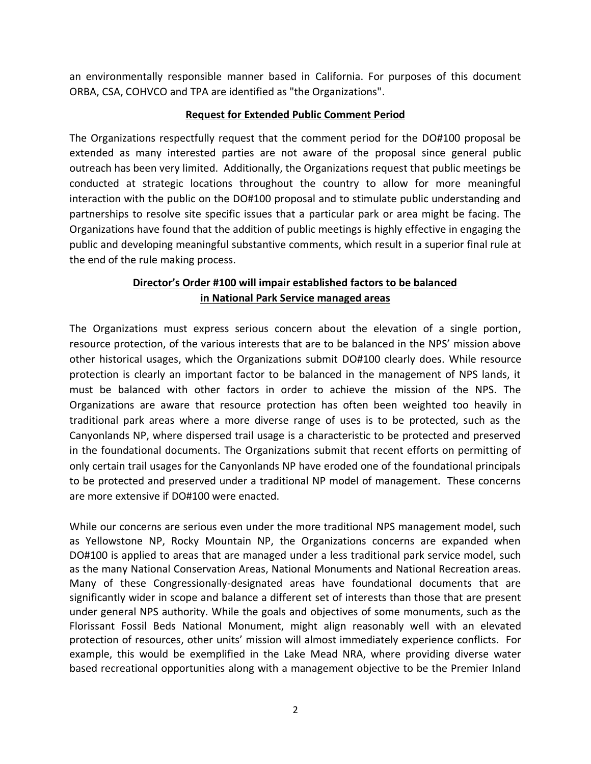an environmentally responsible manner based in California. For purposes of this document ORBA, CSA, COHVCO and TPA are identified as "the Organizations".

## **Request for Extended Public Comment Period**

The Organizations respectfully request that the comment period for the DO#100 proposal be extended as many interested parties are not aware of the proposal since general public outreach has been very limited. Additionally, the Organizations request that public meetings be conducted at strategic locations throughout the country to allow for more meaningful interaction with the public on the DO#100 proposal and to stimulate public understanding and partnerships to resolve site specific issues that a particular park or area might be facing. The Organizations have found that the addition of public meetings is highly effective in engaging the public and developing meaningful substantive comments, which result in a superior final rule at the end of the rule making process.

## **Director's Order #100 will impair established factors to be balanced in National Park Service managed areas**

The Organizations must express serious concern about the elevation of a single portion, resource protection, of the various interests that are to be balanced in the NPS' mission above other historical usages, which the Organizations submit DO#100 clearly does. While resource protection is clearly an important factor to be balanced in the management of NPS lands, it must be balanced with other factors in order to achieve the mission of the NPS. The Organizations are aware that resource protection has often been weighted too heavily in traditional park areas where a more diverse range of uses is to be protected, such as the Canyonlands NP, where dispersed trail usage is a characteristic to be protected and preserved in the foundational documents. The Organizations submit that recent efforts on permitting of only certain trail usages for the Canyonlands NP have eroded one of the foundational principals to be protected and preserved under a traditional NP model of management. These concerns are more extensive if DO#100 were enacted.

While our concerns are serious even under the more traditional NPS management model, such as Yellowstone NP, Rocky Mountain NP, the Organizations concerns are expanded when DO#100 is applied to areas that are managed under a less traditional park service model, such as the many National Conservation Areas, National Monuments and National Recreation areas. Many of these Congressionally-designated areas have foundational documents that are significantly wider in scope and balance a different set of interests than those that are present under general NPS authority. While the goals and objectives of some monuments, such as the Florissant Fossil Beds National Monument, might align reasonably well with an elevated protection of resources, other units' mission will almost immediately experience conflicts. For example, this would be exemplified in the Lake Mead NRA, where providing diverse water based recreational opportunities along with a management objective to be the Premier Inland